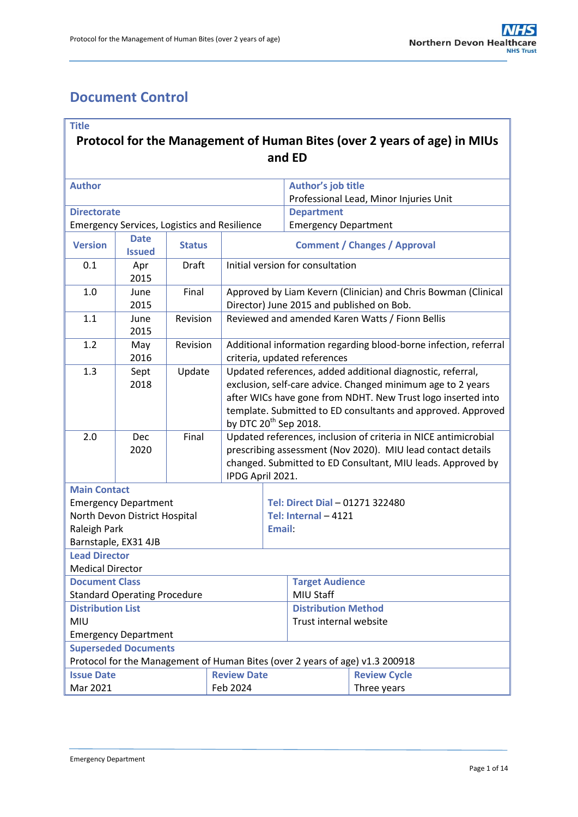# <span id="page-0-0"></span>**Document Control**

### **Title**

# **Protocol for the Management of Human Bites (over 2 years of age) in MIUs and ED**

| <b>Author</b>                                                                |                                                     |               |  |                                                                                                                                                                                                                                                                                                | Author's job title                     |                     |  |  |
|------------------------------------------------------------------------------|-----------------------------------------------------|---------------|--|------------------------------------------------------------------------------------------------------------------------------------------------------------------------------------------------------------------------------------------------------------------------------------------------|----------------------------------------|---------------------|--|--|
|                                                                              |                                                     |               |  |                                                                                                                                                                                                                                                                                                | Professional Lead, Minor Injuries Unit |                     |  |  |
| <b>Directorate</b>                                                           |                                                     |               |  |                                                                                                                                                                                                                                                                                                | <b>Department</b>                      |                     |  |  |
|                                                                              | <b>Emergency Services, Logistics and Resilience</b> |               |  |                                                                                                                                                                                                                                                                                                | <b>Emergency Department</b>            |                     |  |  |
| <b>Version</b>                                                               | <b>Date</b><br><b>Issued</b>                        | <b>Status</b> |  | <b>Comment / Changes / Approval</b>                                                                                                                                                                                                                                                            |                                        |                     |  |  |
| 0.1                                                                          | Apr<br>2015                                         | <b>Draft</b>  |  | Initial version for consultation                                                                                                                                                                                                                                                               |                                        |                     |  |  |
| 1.0                                                                          | June<br>2015                                        | Final         |  | Approved by Liam Kevern (Clinician) and Chris Bowman (Clinical<br>Director) June 2015 and published on Bob.                                                                                                                                                                                    |                                        |                     |  |  |
| 1.1                                                                          | June<br>2015                                        | Revision      |  | Reviewed and amended Karen Watts / Fionn Bellis                                                                                                                                                                                                                                                |                                        |                     |  |  |
| 1.2                                                                          | May<br>2016                                         | Revision      |  | Additional information regarding blood-borne infection, referral<br>criteria, updated references                                                                                                                                                                                               |                                        |                     |  |  |
| 1.3                                                                          | Sept<br>2018                                        | Update        |  | Updated references, added additional diagnostic, referral,<br>exclusion, self-care advice. Changed minimum age to 2 years<br>after WICs have gone from NDHT. New Trust logo inserted into<br>template. Submitted to ED consultants and approved. Approved<br>by DTC 20 <sup>th</sup> Sep 2018. |                                        |                     |  |  |
| 2.0                                                                          | Dec<br>2020                                         | Final         |  | Updated references, inclusion of criteria in NICE antimicrobial<br>prescribing assessment (Nov 2020). MIU lead contact details<br>changed. Submitted to ED Consultant, MIU leads. Approved by<br>IPDG April 2021.                                                                              |                                        |                     |  |  |
| <b>Main Contact</b>                                                          |                                                     |               |  |                                                                                                                                                                                                                                                                                                |                                        |                     |  |  |
|                                                                              | <b>Emergency Department</b>                         |               |  |                                                                                                                                                                                                                                                                                                | Tel: Direct Dial - 01271 322480        |                     |  |  |
|                                                                              | North Devon District Hospital                       |               |  |                                                                                                                                                                                                                                                                                                | Tel: Internal - 4121                   |                     |  |  |
| Raleigh Park                                                                 |                                                     |               |  |                                                                                                                                                                                                                                                                                                | Email:                                 |                     |  |  |
| Barnstaple, EX31 4JB                                                         |                                                     |               |  |                                                                                                                                                                                                                                                                                                |                                        |                     |  |  |
| <b>Lead Director</b>                                                         |                                                     |               |  |                                                                                                                                                                                                                                                                                                |                                        |                     |  |  |
| <b>Medical Director</b>                                                      |                                                     |               |  |                                                                                                                                                                                                                                                                                                |                                        |                     |  |  |
| <b>Document Class</b>                                                        |                                                     |               |  |                                                                                                                                                                                                                                                                                                | <b>Target Audience</b>                 |                     |  |  |
| <b>Standard Operating Procedure</b>                                          |                                                     |               |  |                                                                                                                                                                                                                                                                                                | MIU Staff                              |                     |  |  |
| <b>Distribution List</b>                                                     |                                                     |               |  |                                                                                                                                                                                                                                                                                                | <b>Distribution Method</b>             |                     |  |  |
| MIU                                                                          |                                                     |               |  |                                                                                                                                                                                                                                                                                                | Trust internal website                 |                     |  |  |
|                                                                              | <b>Emergency Department</b>                         |               |  |                                                                                                                                                                                                                                                                                                |                                        |                     |  |  |
| <b>Superseded Documents</b>                                                  |                                                     |               |  |                                                                                                                                                                                                                                                                                                |                                        |                     |  |  |
| Protocol for the Management of Human Bites (over 2 years of age) v1.3 200918 |                                                     |               |  |                                                                                                                                                                                                                                                                                                |                                        |                     |  |  |
| <b>Issue Date</b><br><b>Review Date</b>                                      |                                                     |               |  |                                                                                                                                                                                                                                                                                                |                                        | <b>Review Cycle</b> |  |  |
| Mar 2021<br>Feb 2024                                                         |                                                     |               |  |                                                                                                                                                                                                                                                                                                |                                        | Three years         |  |  |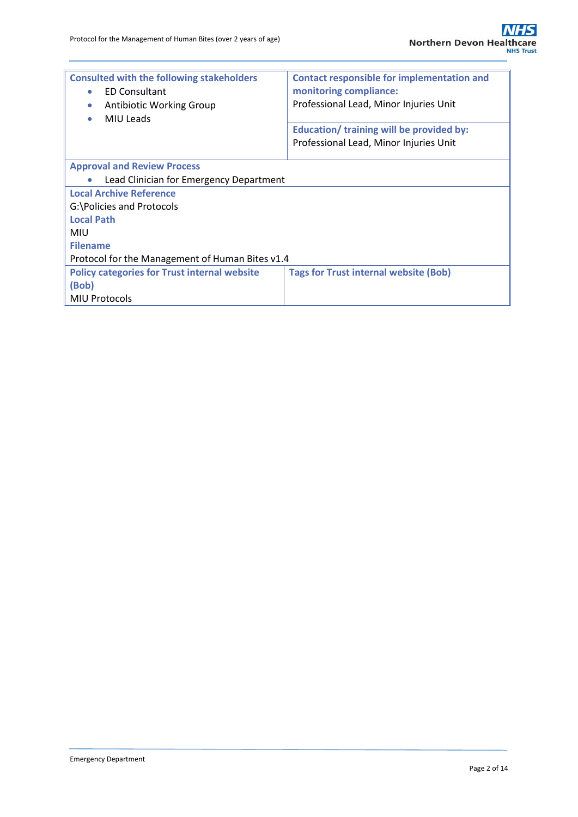| <b>Consulted with the following stakeholders</b><br><b>ED Consultant</b><br>$\bullet$<br><b>Antibiotic Working Group</b><br>$\bullet$<br>MIU Leads | <b>Contact responsible for implementation and</b><br>monitoring compliance:<br>Professional Lead, Minor Injuries Unit<br>Education/ training will be provided by:<br>Professional Lead, Minor Injuries Unit |  |  |  |  |  |
|----------------------------------------------------------------------------------------------------------------------------------------------------|-------------------------------------------------------------------------------------------------------------------------------------------------------------------------------------------------------------|--|--|--|--|--|
|                                                                                                                                                    |                                                                                                                                                                                                             |  |  |  |  |  |
| <b>Approval and Review Process</b>                                                                                                                 |                                                                                                                                                                                                             |  |  |  |  |  |
| Lead Clinician for Emergency Department                                                                                                            |                                                                                                                                                                                                             |  |  |  |  |  |
| <b>Local Archive Reference</b>                                                                                                                     |                                                                                                                                                                                                             |  |  |  |  |  |
| G:\Policies and Protocols                                                                                                                          |                                                                                                                                                                                                             |  |  |  |  |  |
| <b>Local Path</b>                                                                                                                                  |                                                                                                                                                                                                             |  |  |  |  |  |
| <b>MIU</b>                                                                                                                                         |                                                                                                                                                                                                             |  |  |  |  |  |
| <b>Filename</b>                                                                                                                                    |                                                                                                                                                                                                             |  |  |  |  |  |
| Protocol for the Management of Human Bites v1.4                                                                                                    |                                                                                                                                                                                                             |  |  |  |  |  |
| <b>Policy categories for Trust internal website</b>                                                                                                | <b>Tags for Trust internal website (Bob)</b>                                                                                                                                                                |  |  |  |  |  |
| (Bob)                                                                                                                                              |                                                                                                                                                                                                             |  |  |  |  |  |
| <b>MIU Protocols</b>                                                                                                                               |                                                                                                                                                                                                             |  |  |  |  |  |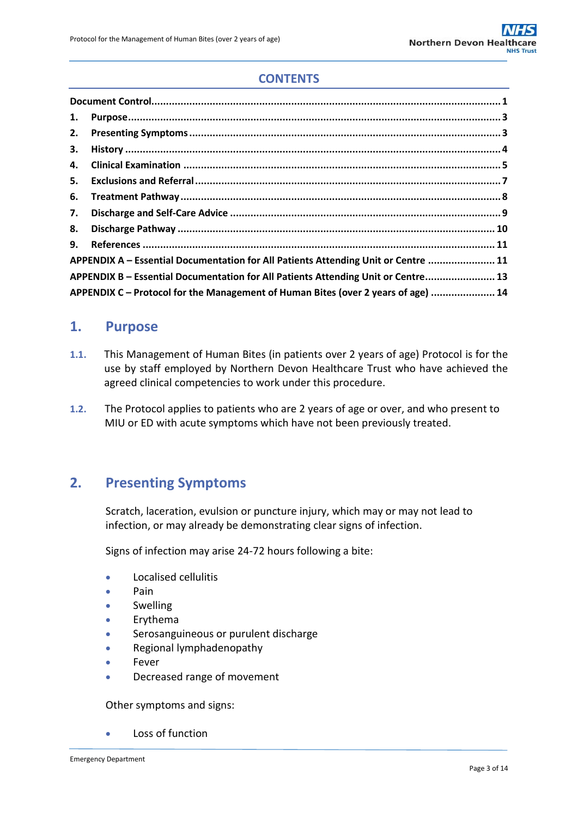# **CONTENTS**

| 1.                                                                                 |                                                                                   |  |  |  |
|------------------------------------------------------------------------------------|-----------------------------------------------------------------------------------|--|--|--|
| 2.                                                                                 |                                                                                   |  |  |  |
| 3.                                                                                 |                                                                                   |  |  |  |
| 4.                                                                                 |                                                                                   |  |  |  |
|                                                                                    |                                                                                   |  |  |  |
| 6.                                                                                 |                                                                                   |  |  |  |
| 7.                                                                                 |                                                                                   |  |  |  |
| 8.                                                                                 |                                                                                   |  |  |  |
| 9.                                                                                 |                                                                                   |  |  |  |
| APPENDIX A - Essential Documentation for All Patients Attending Unit or Centre  11 |                                                                                   |  |  |  |
|                                                                                    | APPENDIX B - Essential Documentation for All Patients Attending Unit or Centre 13 |  |  |  |
| APPENDIX C – Protocol for the Management of Human Bites (over 2 years of age)  14  |                                                                                   |  |  |  |

## <span id="page-2-0"></span>**1. Purpose**

- **1.1.** This Management of Human Bites (in patients over 2 years of age) Protocol is for the use by staff employed by Northern Devon Healthcare Trust who have achieved the agreed clinical competencies to work under this procedure.
- **1.2.** The Protocol applies to patients who are 2 years of age or over, and who present to MIU or ED with acute symptoms which have not been previously treated.

## <span id="page-2-1"></span>**2. Presenting Symptoms**

Scratch, laceration, evulsion or puncture injury, which may or may not lead to infection, or may already be demonstrating clear signs of infection.

Signs of infection may arise 24-72 hours following a bite:

- Localised cellulitis
- Pain
- **Swelling**
- Erythema
- Serosanguineous or purulent discharge
- Regional lymphadenopathy
- Fever
- Decreased range of movement

Other symptoms and signs:

Loss of function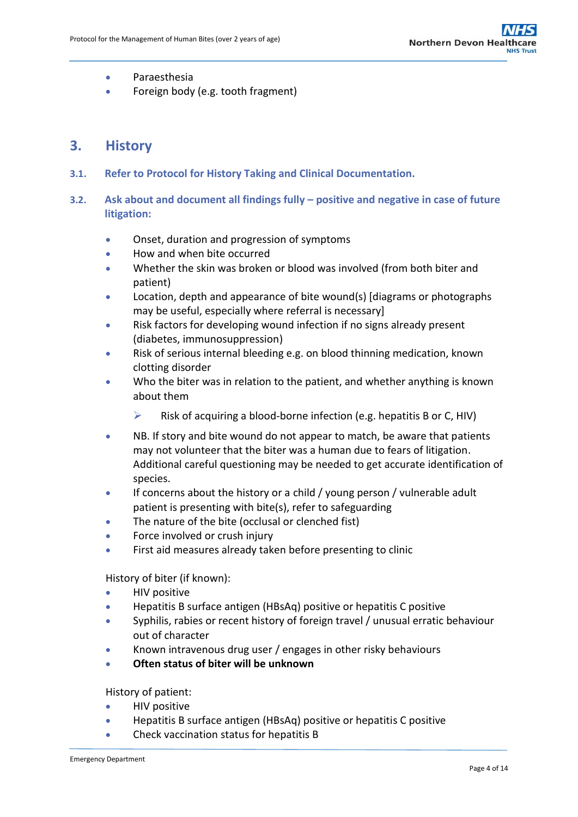- **•** Paraesthesia
- Foreign body (e.g. tooth fragment)

## <span id="page-3-0"></span>**3. History**

- **3.1. Refer to Protocol for History Taking and Clinical Documentation.**
- **3.2. Ask about and document all findings fully – positive and negative in case of future litigation:**
	- Onset, duration and progression of symptoms
	- How and when bite occurred
	- Whether the skin was broken or blood was involved (from both biter and patient)
	- Location, depth and appearance of bite wound(s) [diagrams or photographs may be useful, especially where referral is necessary]
	- Risk factors for developing wound infection if no signs already present (diabetes, immunosuppression)
	- Risk of serious internal bleeding e.g. on blood thinning medication, known clotting disorder
	- Who the biter was in relation to the patient, and whether anything is known about them
		- $\triangleright$  Risk of acquiring a blood-borne infection (e.g. hepatitis B or C, HIV)
	- NB. If story and bite wound do not appear to match, be aware that patients may not volunteer that the biter was a human due to fears of litigation. Additional careful questioning may be needed to get accurate identification of species.
	- If concerns about the history or a child / young person / vulnerable adult patient is presenting with bite(s), refer to safeguarding
	- The nature of the bite (occlusal or clenched fist)
	- Force involved or crush injury
	- First aid measures already taken before presenting to clinic

History of biter (if known):

- HIV positive
- Hepatitis B surface antigen (HBsAq) positive or hepatitis C positive
- Syphilis, rabies or recent history of foreign travel / unusual erratic behaviour out of character
- Known intravenous drug user / engages in other risky behaviours
- **Often status of biter will be unknown**

History of patient:

- **•** HIV positive
- Hepatitis B surface antigen (HBsAq) positive or hepatitis C positive
- Check vaccination status for hepatitis B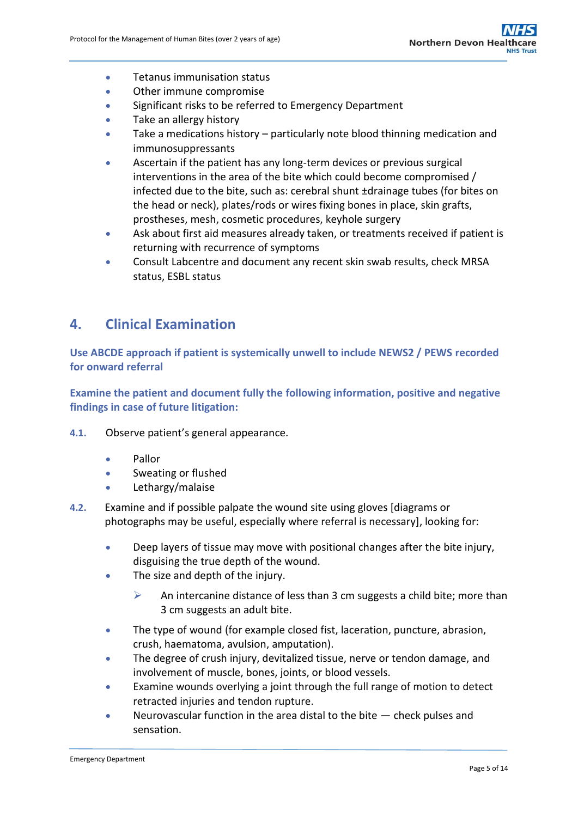- **•** Tetanus immunisation status
- Other immune compromise
- **Significant risks to be referred to Emergency Department**
- Take an allergy history
- Take a medications history particularly note blood thinning medication and immunosuppressants
- Ascertain if the patient has any long-term devices or previous surgical interventions in the area of the bite which could become compromised / infected due to the bite, such as: cerebral shunt ±drainage tubes (for bites on the head or neck), plates/rods or wires fixing bones in place, skin grafts, prostheses, mesh, cosmetic procedures, keyhole surgery
- Ask about first aid measures already taken, or treatments received if patient is returning with recurrence of symptoms
- Consult Labcentre and document any recent skin swab results, check MRSA status, ESBL status

# <span id="page-4-0"></span>**4. Clinical Examination**

**Use ABCDE approach if patient is systemically unwell to include NEWS2 / PEWS recorded for onward referral**

**Examine the patient and document fully the following information, positive and negative findings in case of future litigation:**

- **4.1.** Observe patient's general appearance.
	- Pallor
	- **Sweating or flushed**
	- Lethargy/malaise
- **4.2.** Examine and if possible palpate the wound site using gloves [diagrams or photographs may be useful, especially where referral is necessary], looking for:
	- Deep layers of tissue may move with positional changes after the bite injury, disguising the true depth of the wound.
	- The size and depth of the injury.
		- $\triangleright$  An intercanine distance of less than 3 cm suggests a child bite; more than 3 cm suggests an adult bite.
	- The type of wound (for example closed fist, laceration, puncture, abrasion, crush, haematoma, avulsion, amputation).
	- The degree of crush injury, devitalized tissue, nerve or tendon damage, and involvement of muscle, bones, joints, or blood vessels.
	- Examine wounds overlying a joint through the full range of motion to detect retracted injuries and tendon rupture.
	- Neurovascular function in the area distal to the bite check pulses and sensation.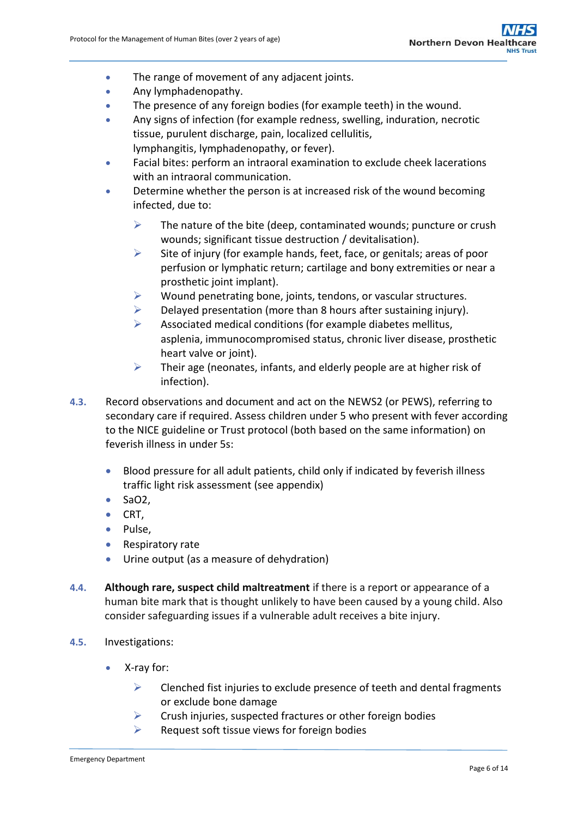- The range of movement of any adjacent joints.
- Any lymphadenopathy.
- The presence of any foreign bodies (for example teeth) in the wound.
- Any signs of infection (for example redness, swelling, induration, necrotic tissue, purulent discharge, pain, localized cellulitis, lymphangitis, lymphadenopathy, or fever).
- Facial bites: perform an intraoral examination to exclude cheek lacerations with an intraoral communication.
- Determine whether the person is at increased risk of the wound becoming infected, due to:
	- $\triangleright$  The nature of the bite (deep, contaminated wounds; puncture or crush wounds; significant tissue destruction / devitalisation).
	- $\triangleright$  Site of injury (for example hands, feet, face, or genitals; areas of poor perfusion or lymphatic return; cartilage and bony extremities or near a prosthetic joint implant).
	- $\triangleright$  Wound penetrating bone, joints, tendons, or vascular structures.
	- $\triangleright$  Delayed presentation (more than 8 hours after sustaining injury).
	- $\triangleright$  Associated medical conditions (for example diabetes mellitus, asplenia, immunocompromised status, chronic liver disease, prosthetic heart valve or joint).
	- $\triangleright$  Their age (neonates, infants, and elderly people are at higher risk of infection).
- **4.3.** Record observations and document and act on the NEWS2 (or PEWS), referring to secondary care if required. Assess children under 5 who present with fever according to the NICE guideline or Trust protocol (both based on the same information) on feverish illness in under 5s:
	- Blood pressure for all adult patients, child only if indicated by feverish illness traffic light risk assessment (see appendix)
	- $Sao2$ ,
	- $\bullet$  CRT,
	- Pulse,
	- Respiratory rate
	- Urine output (as a measure of dehydration)
- **4.4. Although rare, suspect child maltreatment** if there is a report or appearance of a human bite mark that is thought unlikely to have been caused by a young child. Also consider safeguarding issues if a vulnerable adult receives a bite injury.
- **4.5.** Investigations:
	- X-ray for:
		- $\triangleright$  Clenched fist injuries to exclude presence of teeth and dental fragments or exclude bone damage
		- $\triangleright$  Crush injuries, suspected fractures or other foreign bodies
		- $\triangleright$  Request soft tissue views for foreign bodies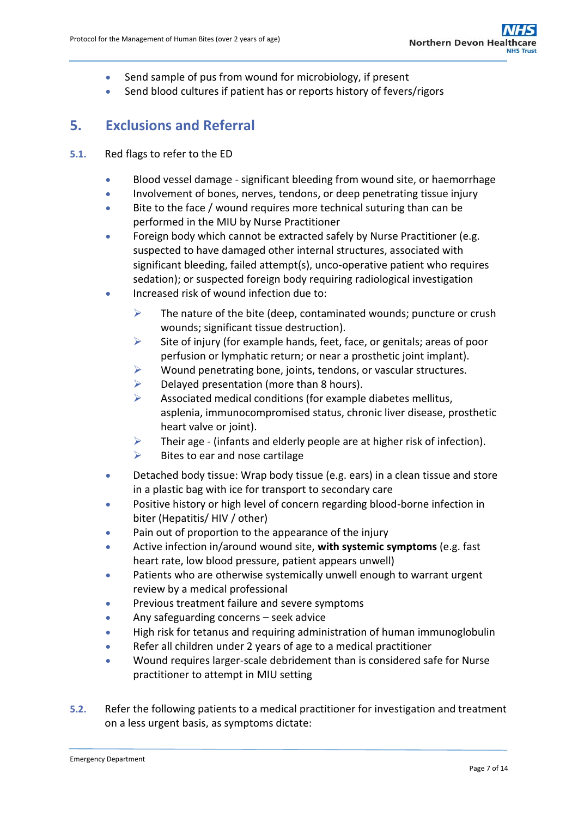- Send sample of pus from wound for microbiology, if present
- Send blood cultures if patient has or reports history of fevers/rigors

# <span id="page-6-0"></span>**5. Exclusions and Referral**

### **5.1.** Red flags to refer to the ED

- Blood vessel damage significant bleeding from wound site, or haemorrhage
- Involvement of bones, nerves, tendons, or deep penetrating tissue injury
- Bite to the face / wound requires more technical suturing than can be performed in the MIU by Nurse Practitioner
- Foreign body which cannot be extracted safely by Nurse Practitioner (e.g. suspected to have damaged other internal structures, associated with significant bleeding, failed attempt(s), unco-operative patient who requires sedation); or suspected foreign body requiring radiological investigation
- Increased risk of wound infection due to:
	- $\triangleright$  The nature of the bite (deep, contaminated wounds; puncture or crush wounds; significant tissue destruction).
	- $\triangleright$  Site of injury (for example hands, feet, face, or genitals; areas of poor perfusion or lymphatic return; or near a prosthetic joint implant).
	- $\triangleright$  Wound penetrating bone, joints, tendons, or vascular structures.
	- $\triangleright$  Delayed presentation (more than 8 hours).
	- $\triangleright$  Associated medical conditions (for example diabetes mellitus, asplenia, immunocompromised status, chronic liver disease, prosthetic heart valve or joint).
	- $\triangleright$  Their age (infants and elderly people are at higher risk of infection).
	- $\triangleright$  Bites to ear and nose cartilage
- Detached body tissue: Wrap body tissue (e.g. ears) in a clean tissue and store in a plastic bag with ice for transport to secondary care
- Positive history or high level of concern regarding blood-borne infection in biter (Hepatitis/ HIV / other)
- Pain out of proportion to the appearance of the injury
- Active infection in/around wound site, **with systemic symptoms** (e.g. fast heart rate, low blood pressure, patient appears unwell)
- Patients who are otherwise systemically unwell enough to warrant urgent review by a medical professional
- Previous treatment failure and severe symptoms
- Any safeguarding concerns seek advice
- High risk for tetanus and requiring administration of human immunoglobulin
- Refer all children under 2 years of age to a medical practitioner
- Wound requires larger-scale debridement than is considered safe for Nurse practitioner to attempt in MIU setting
- **5.2.** Refer the following patients to a medical practitioner for investigation and treatment on a less urgent basis, as symptoms dictate: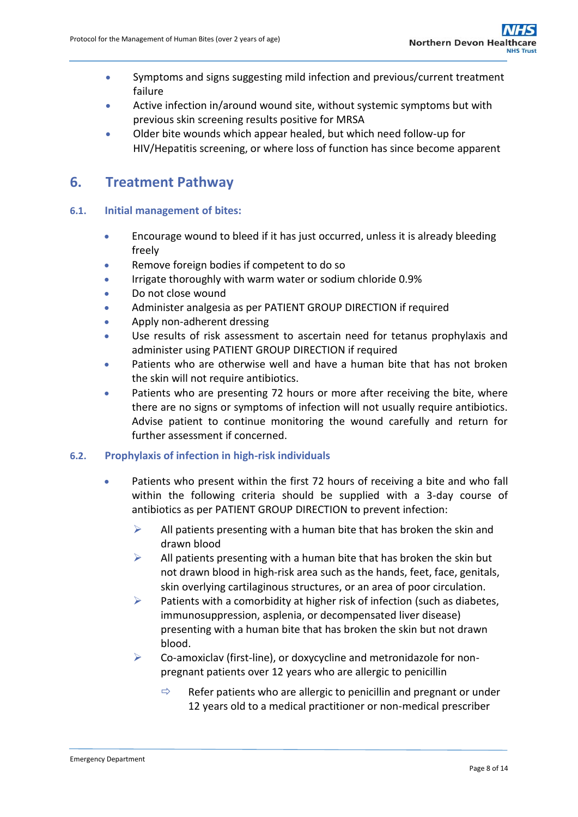- Symptoms and signs suggesting mild infection and previous/current treatment failure
- Active infection in/around wound site, without systemic symptoms but with previous skin screening results positive for MRSA
- Older bite wounds which appear healed, but which need follow-up for HIV/Hepatitis screening, or where loss of function has since become apparent

## <span id="page-7-0"></span>**6. Treatment Pathway**

## **6.1. Initial management of bites:**

- Encourage wound to bleed if it has just occurred, unless it is already bleeding freely
- Remove foreign bodies if competent to do so
- Irrigate thoroughly with warm water or sodium chloride 0.9%
- Do not close wound
- Administer analgesia as per PATIENT GROUP DIRECTION if required
- Apply non-adherent dressing
- Use results of risk assessment to ascertain need for tetanus prophylaxis and administer using PATIENT GROUP DIRECTION if required
- Patients who are otherwise well and have a human bite that has not broken the skin will not require antibiotics.
- Patients who are presenting 72 hours or more after receiving the bite, where there are no signs or symptoms of infection will not usually require antibiotics. Advise patient to continue monitoring the wound carefully and return for further assessment if concerned.

## **6.2. Prophylaxis of infection in high-risk individuals**

- Patients who present within the first 72 hours of receiving a bite and who fall within the following criteria should be supplied with a 3-day course of antibiotics as per PATIENT GROUP DIRECTION to prevent infection:
	- $\triangleright$  All patients presenting with a human bite that has broken the skin and drawn blood
	- $\triangleright$  All patients presenting with a human bite that has broken the skin but not drawn blood in high-risk area such as the hands, feet, face, genitals, skin overlying cartilaginous structures, or an area of poor circulation.
	- $\triangleright$  Patients with a comorbidity at higher risk of infection (such as diabetes, immunosuppression, asplenia, or decompensated liver disease) presenting with a human bite that has broken the skin but not drawn blood.
	- $\triangleright$  Co-amoxiclav (first-line), or doxycycline and metronidazole for nonpregnant patients over 12 years who are allergic to penicillin
		- $\Rightarrow$  Refer patients who are allergic to penicillin and pregnant or under 12 years old to a medical practitioner or non-medical prescriber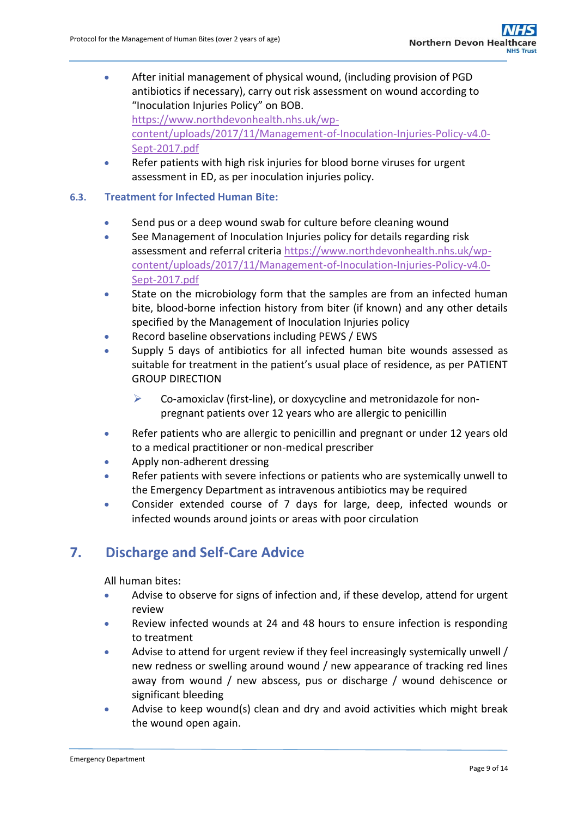- After initial management of physical wound, (including provision of PGD antibiotics if necessary), carry out risk assessment on wound according to "Inoculation Injuries Policy" on BOB. [https://www.northdevonhealth.nhs.uk/wp](https://www.northdevonhealth.nhs.uk/wp-content/uploads/2017/11/Management-of-Inoculation-Injuries-Policy-v4.0-Sept-2017.pdf)[content/uploads/2017/11/Management-of-Inoculation-Injuries-Policy-v4.0-](https://www.northdevonhealth.nhs.uk/wp-content/uploads/2017/11/Management-of-Inoculation-Injuries-Policy-v4.0-Sept-2017.pdf) [Sept-2017.pdf](https://www.northdevonhealth.nhs.uk/wp-content/uploads/2017/11/Management-of-Inoculation-Injuries-Policy-v4.0-Sept-2017.pdf)
- Refer patients with high risk injuries for blood borne viruses for urgent assessment in ED, as per inoculation injuries policy.
- **6.3. Treatment for Infected Human Bite:**
	- Send pus or a deep wound swab for culture before cleaning wound
	- See Management of Inoculation Injuries policy for details regarding risk assessment and referral criteri[a https://www.northdevonhealth.nhs.uk/wp](https://www.northdevonhealth.nhs.uk/wp-content/uploads/2017/11/Management-of-Inoculation-Injuries-Policy-v4.0-Sept-2017.pdf)[content/uploads/2017/11/Management-of-Inoculation-Injuries-Policy-v4.0-](https://www.northdevonhealth.nhs.uk/wp-content/uploads/2017/11/Management-of-Inoculation-Injuries-Policy-v4.0-Sept-2017.pdf) [Sept-2017.pdf](https://www.northdevonhealth.nhs.uk/wp-content/uploads/2017/11/Management-of-Inoculation-Injuries-Policy-v4.0-Sept-2017.pdf)
	- State on the microbiology form that the samples are from an infected human bite, blood-borne infection history from biter (if known) and any other details specified by the Management of Inoculation Injuries policy
	- Record baseline observations including PEWS / EWS
	- Supply 5 days of antibiotics for all infected human bite wounds assessed as suitable for treatment in the patient's usual place of residence, as per PATIENT GROUP DIRECTION
		- $\triangleright$  Co-amoxiclav (first-line), or doxycycline and metronidazole for nonpregnant patients over 12 years who are allergic to penicillin
	- Refer patients who are allergic to penicillin and pregnant or under 12 years old to a medical practitioner or non-medical prescriber
	- Apply non-adherent dressing
	- Refer patients with severe infections or patients who are systemically unwell to the Emergency Department as intravenous antibiotics may be required
	- Consider extended course of 7 days for large, deep, infected wounds or infected wounds around joints or areas with poor circulation

# <span id="page-8-0"></span>**7. Discharge and Self-Care Advice**

All human bites:

- Advise to observe for signs of infection and, if these develop, attend for urgent review
- Review infected wounds at 24 and 48 hours to ensure infection is responding to treatment
- Advise to attend for urgent review if they feel increasingly systemically unwell / new redness or swelling around wound / new appearance of tracking red lines away from wound / new abscess, pus or discharge / wound dehiscence or significant bleeding
- Advise to keep wound(s) clean and dry and avoid activities which might break the wound open again.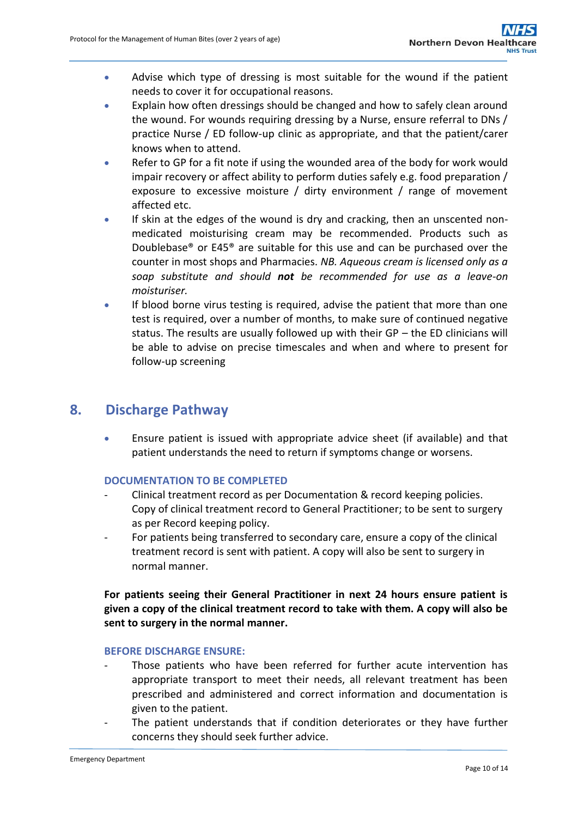- Advise which type of dressing is most suitable for the wound if the patient needs to cover it for occupational reasons.
- Explain how often dressings should be changed and how to safely clean around the wound. For wounds requiring dressing by a Nurse, ensure referral to DNs / practice Nurse / ED follow-up clinic as appropriate, and that the patient/carer knows when to attend.
- Refer to GP for a fit note if using the wounded area of the body for work would impair recovery or affect ability to perform duties safely e.g. food preparation / exposure to excessive moisture / dirty environment / range of movement affected etc.
- If skin at the edges of the wound is dry and cracking, then an unscented nonmedicated moisturising cream may be recommended. Products such as Doublebase® or E45® are suitable for this use and can be purchased over the counter in most shops and Pharmacies. *NB. Aqueous cream is licensed only as a soap substitute and should not be recommended for use as a leave-on moisturiser.*
- If blood borne virus testing is required, advise the patient that more than one test is required, over a number of months, to make sure of continued negative status. The results are usually followed up with their GP – the ED clinicians will be able to advise on precise timescales and when and where to present for follow-up screening

# <span id="page-9-0"></span>**8. Discharge Pathway**

 Ensure patient is issued with appropriate advice sheet (if available) and that patient understands the need to return if symptoms change or worsens.

## **DOCUMENTATION TO BE COMPLETED**

- Clinical treatment record as per Documentation & record keeping policies. Copy of clinical treatment record to General Practitioner; to be sent to surgery as per Record keeping policy.
- For patients being transferred to secondary care, ensure a copy of the clinical treatment record is sent with patient. A copy will also be sent to surgery in normal manner.

## **For patients seeing their General Practitioner in next 24 hours ensure patient is given a copy of the clinical treatment record to take with them. A copy will also be sent to surgery in the normal manner.**

### **BEFORE DISCHARGE ENSURE:**

- Those patients who have been referred for further acute intervention has appropriate transport to meet their needs, all relevant treatment has been prescribed and administered and correct information and documentation is given to the patient.
- The patient understands that if condition deteriorates or they have further concerns they should seek further advice.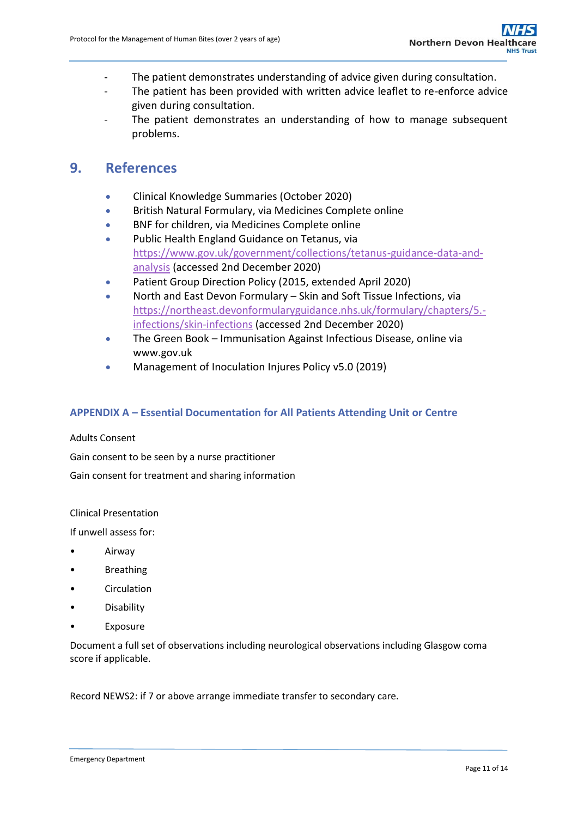- The patient demonstrates understanding of advice given during consultation.
- The patient has been provided with written advice leaflet to re-enforce advice given during consultation.
- The patient demonstrates an understanding of how to manage subsequent problems.

## <span id="page-10-0"></span>**9. References**

- Clinical Knowledge Summaries (October 2020)
- British Natural Formulary, via Medicines Complete online
- BNF for children, via Medicines Complete online
- Public Health England Guidance on Tetanus, via [https://www.gov.uk/government/collections/tetanus-guidance-data-and](https://www.gov.uk/government/collections/tetanus-guidance-data-and-analysis)[analysis](https://www.gov.uk/government/collections/tetanus-guidance-data-and-analysis) (accessed 2nd December 2020)
- Patient Group Direction Policy (2015, extended April 2020)
- North and East Devon Formulary Skin and Soft Tissue Infections, via [https://northeast.devonformularyguidance.nhs.uk/formulary/chapters/5.](https://northeast.devonformularyguidance.nhs.uk/formulary/chapters/5.-infections/skin-infections) [infections/skin-infections](https://northeast.devonformularyguidance.nhs.uk/formulary/chapters/5.-infections/skin-infections) (accessed 2nd December 2020)
- The Green Book Immunisation Against Infectious Disease, online via www.gov.uk
- Management of Inoculation Injures Policy v5.0 (2019)

### <span id="page-10-1"></span>**APPENDIX A – Essential Documentation for All Patients Attending Unit or Centre**

#### Adults Consent

Gain consent to be seen by a nurse practitioner

Gain consent for treatment and sharing information

Clinical Presentation

If unwell assess for:

- Airway
- Breathing
- **Circulation**
- Disability
- **Exposure**

Document a full set of observations including neurological observations including Glasgow coma score if applicable.

Record NEWS2: if 7 or above arrange immediate transfer to secondary care.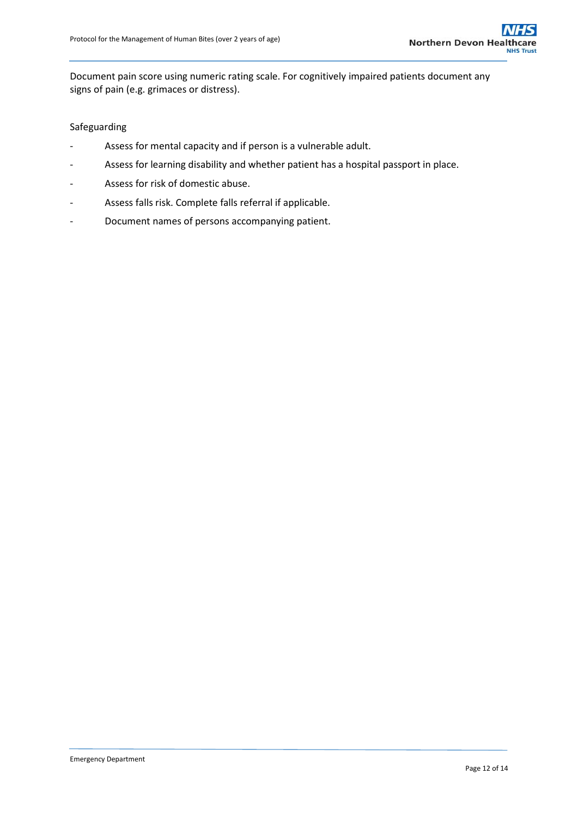Document pain score using numeric rating scale. For cognitively impaired patients document any signs of pain (e.g. grimaces or distress).

#### Safeguarding

- Assess for mental capacity and if person is a vulnerable adult.
- Assess for learning disability and whether patient has a hospital passport in place.
- Assess for risk of domestic abuse.
- Assess falls risk. Complete falls referral if applicable.
- Document names of persons accompanying patient.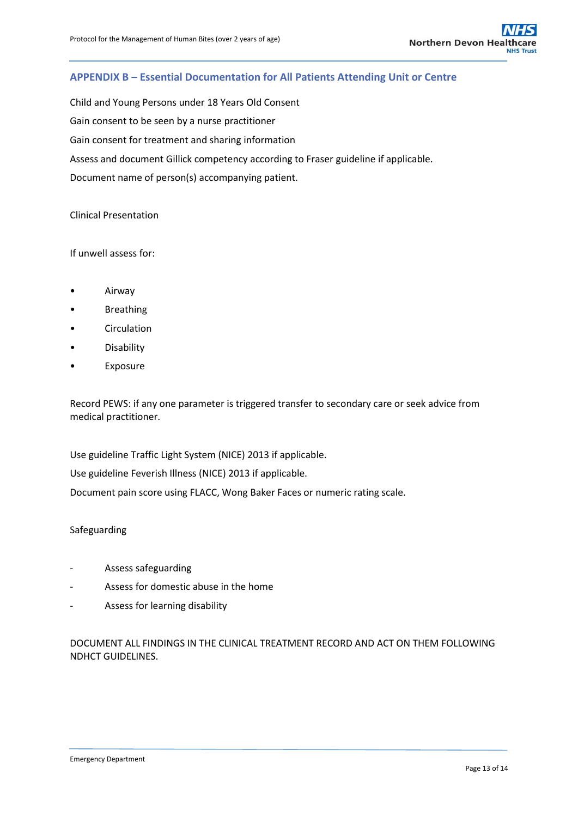## <span id="page-12-0"></span>**APPENDIX B – Essential Documentation for All Patients Attending Unit or Centre**

Child and Young Persons under 18 Years Old Consent Gain consent to be seen by a nurse practitioner Gain consent for treatment and sharing information Assess and document Gillick competency according to Fraser guideline if applicable. Document name of person(s) accompanying patient.

#### Clinical Presentation

#### If unwell assess for:

- Airway
- **Breathing**
- **Circulation**
- Disability
- **Exposure**

Record PEWS: if any one parameter is triggered transfer to secondary care or seek advice from medical practitioner.

Use guideline Traffic Light System (NICE) 2013 if applicable.

Use guideline Feverish Illness (NICE) 2013 if applicable.

Document pain score using FLACC, Wong Baker Faces or numeric rating scale.

#### Safeguarding

- Assess safeguarding
- Assess for domestic abuse in the home
- Assess for learning disability

DOCUMENT ALL FINDINGS IN THE CLINICAL TREATMENT RECORD AND ACT ON THEM FOLLOWING NDHCT GUIDELINES.